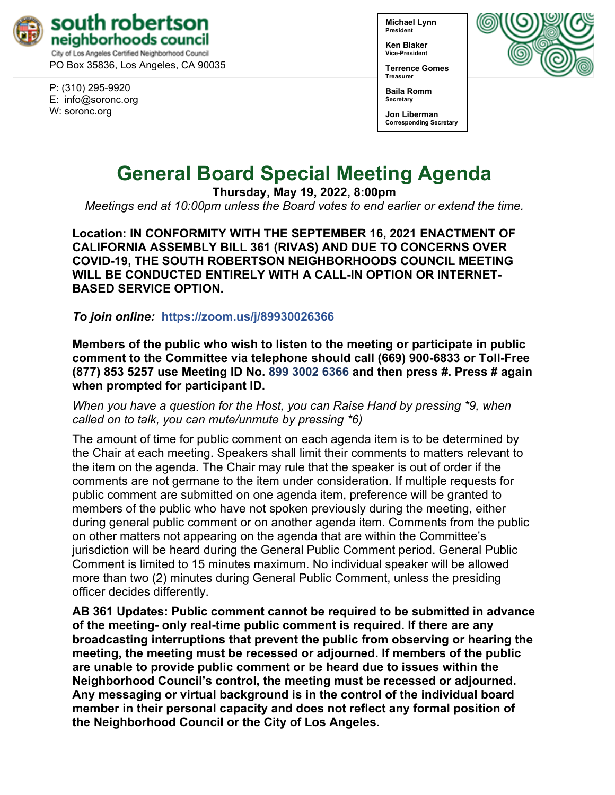

PO Box 35836, Los Angeles, CA 90035

P: (310) 295-9920 E: [info@soronc.org](mailto:info@soronc.org) W: soronc.org

**Michael Lynn President**

**Ken Blaker Vice-President**

**Terrence Gomes Treasurer**



**Baila Romm Secretary**

**Jon Liberman Corresponding Secretary**

# **General Board Special Meeting Agenda**

**Thursday, May 19, 2022, 8:00pm**

*Meetings end at 10:00pm unless the Board votes to end earlier or extend the time.*

**Location: IN CONFORMITY WITH THE SEPTEMBER 16, 2021 ENACTMENT OF CALIFORNIA ASSEMBLY BILL 361 (RIVAS) AND DUE TO CONCERNS OVER COVID-19, THE SOUTH ROBERTSON NEIGHBORHOODS COUNCIL MEETING WILL BE CONDUCTED ENTIRELY WITH A CALL-IN OPTION OR INTERNET-BASED SERVICE OPTION.**

*To join online:* **<https://zoom.us/j/89930026366>**

**Members of the public who wish to listen to the meeting or participate in public comment to the Committee via telephone should call (669) 900-6833 or Toll-Free (877) 853 5257 use Meeting ID No. 899 3002 6366 and then press #. Press # again when prompted for participant ID.** 

*When you have a question for the Host, you can Raise Hand by pressing \*9, when called on to talk, you can mute/unmute by pressing \*6)* 

The amount of time for public comment on each agenda item is to be determined by the Chair at each meeting. Speakers shall limit their comments to matters relevant to the item on the agenda. The Chair may rule that the speaker is out of order if the comments are not germane to the item under consideration. If multiple requests for public comment are submitted on one agenda item, preference will be granted to members of the public who have not spoken previously during the meeting, either during general public comment or on another agenda item. Comments from the public on other matters not appearing on the agenda that are within the Committee's jurisdiction will be heard during the General Public Comment period. General Public Comment is limited to 15 minutes maximum. No individual speaker will be allowed more than two (2) minutes during General Public Comment, unless the presiding officer decides differently.

**AB 361 Updates: Public comment cannot be required to be submitted in advance of the meeting- only real-time public comment is required. If there are any broadcasting interruptions that prevent the public from observing or hearing the meeting, the meeting must be recessed or adjourned. If members of the public are unable to provide public comment or be heard due to issues within the Neighborhood Council's control, the meeting must be recessed or adjourned. Any messaging or virtual background is in the control of the individual board member in their personal capacity and does not reflect any formal position of the Neighborhood Council or the City of Los Angeles.**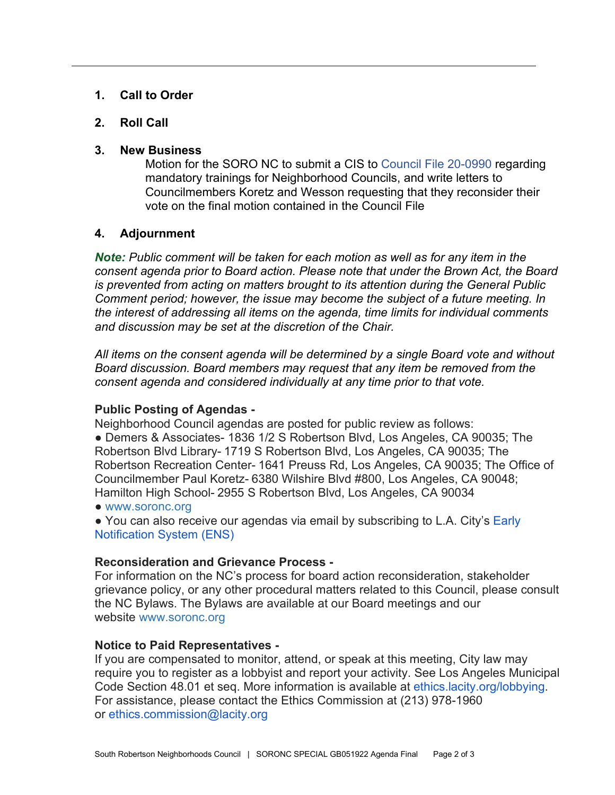## **1. Call to Order**

## **2. Roll Call**

### **3. New Business**

Motion for the SORO NC to submit a CIS to [Council File 20-0990](https://cityclerk.lacity.org/lacityclerkconnect/index.cfm?fa=ccfi.viewrecord&cfnumber=20-0990) regarding mandatory trainings for Neighborhood Councils, and write letters to Councilmembers Koretz and Wesson requesting that they reconsider their vote on the final motion contained in the Council File

## **4. Adjournment**

*Note: Public comment will be taken for each motion as well as for any item in the consent agenda prior to Board action. Please note that under the Brown Act, the Board is prevented from acting on matters brought to its attention during the General Public Comment period; however, the issue may become the subject of a future meeting. In the interest of addressing all items on the agenda, time limits for individual comments and discussion may be set at the discretion of the Chair.*

*All items on the consent agenda will be determined by a single Board vote and without Board discussion. Board members may request that any item be removed from the consent agenda and considered individually at any time prior to that vote.*

### **Public Posting of Agendas -**

Neighborhood Council agendas are posted for public review as follows:

● Demers & Associates- 1836 1/2 S Robertson Blvd, Los Angeles, CA 90035; The Robertson Blvd Library- 1719 S Robertson Blvd, Los Angeles, CA 90035; The Robertson Recreation Center- 1641 Preuss Rd, Los Angeles, CA 90035; The Office of Councilmember Paul Koretz- 6380 Wilshire Blvd #800, Los Angeles, CA 90048; Hamilton High School- 2955 S Robertson Blvd, Los Angeles, CA 90034

● [www.soronc.org](http://www.soronc.org/)

● You can also receive our agendas via email by subscribing to L.A. City's Early [Notification System \(ENS\)](https://www.lacity.org/government/subscribe-agendasnotifications/neighborhood-councils)

### **Reconsideration and Grievance Process -**

For information on the NC's process for board action reconsideration, stakeholder grievance policy, or any other procedural matters related to this Council, please consult the NC Bylaws. The Bylaws are available at our Board meetings and our website [www.soronc.org](http://www.soronc.org/)

## **Notice to Paid Representatives -**

If you are compensated to monitor, attend, or speak at this meeting, City law may require you to register as a lobbyist and report your activity. See Los Angeles Municipal Code Section 48.01 et seq. More information is available at [ethics.lacity.org/lobbying.](http://ethics.lacity.org/lobbying) For assistance, please contact the Ethics Commission at (213) 978-1960 or [ethics.commission@lacity.org](mailto:ethics.commission@lacity.org)